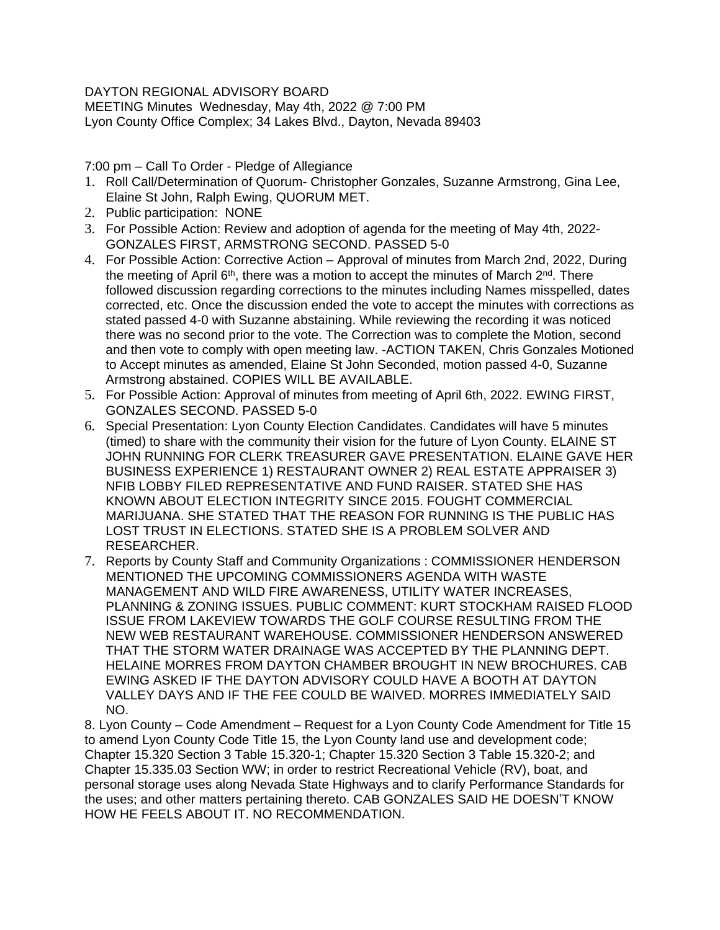## DAYTON REGIONAL ADVISORY BOARD

MEETING Minutes Wednesday, May 4th, 2022 @ 7:00 PM Lyon County Office Complex; 34 Lakes Blvd., Dayton, Nevada 89403

7:00 pm – Call To Order - Pledge of Allegiance

- 1. Roll Call/Determination of Quorum- Christopher Gonzales, Suzanne Armstrong, Gina Lee, Elaine St John, Ralph Ewing, QUORUM MET.
- 2. Public participation: NONE
- 3. For Possible Action: Review and adoption of agenda for the meeting of May 4th, 2022- GONZALES FIRST, ARMSTRONG SECOND. PASSED 5-0
- 4. For Possible Action: Corrective Action Approval of minutes from March 2nd, 2022, During the meeting of April  $6<sup>th</sup>$ , there was a motion to accept the minutes of March  $2<sup>nd</sup>$ . There followed discussion regarding corrections to the minutes including Names misspelled, dates corrected, etc. Once the discussion ended the vote to accept the minutes with corrections as stated passed 4-0 with Suzanne abstaining. While reviewing the recording it was noticed there was no second prior to the vote. The Correction was to complete the Motion, second and then vote to comply with open meeting law. -ACTION TAKEN, Chris Gonzales Motioned to Accept minutes as amended, Elaine St John Seconded, motion passed 4-0, Suzanne Armstrong abstained. COPIES WILL BE AVAILABLE.
- 5. For Possible Action: Approval of minutes from meeting of April 6th, 2022. EWING FIRST, GONZALES SECOND. PASSED 5-0
- 6. Special Presentation: Lyon County Election Candidates. Candidates will have 5 minutes (timed) to share with the community their vision for the future of Lyon County. ELAINE ST JOHN RUNNING FOR CLERK TREASURER GAVE PRESENTATION. ELAINE GAVE HER BUSINESS EXPERIENCE 1) RESTAURANT OWNER 2) REAL ESTATE APPRAISER 3) NFIB LOBBY FILED REPRESENTATIVE AND FUND RAISER. STATED SHE HAS KNOWN ABOUT ELECTION INTEGRITY SINCE 2015. FOUGHT COMMERCIAL MARIJUANA. SHE STATED THAT THE REASON FOR RUNNING IS THE PUBLIC HAS LOST TRUST IN ELECTIONS. STATED SHE IS A PROBLEM SOLVER AND RESEARCHER.
- 7. Reports by County Staff and Community Organizations : COMMISSIONER HENDERSON MENTIONED THE UPCOMING COMMISSIONERS AGENDA WITH WASTE MANAGEMENT AND WILD FIRE AWARENESS, UTILITY WATER INCREASES, PLANNING & ZONING ISSUES. PUBLIC COMMENT: KURT STOCKHAM RAISED FLOOD ISSUE FROM LAKEVIEW TOWARDS THE GOLF COURSE RESULTING FROM THE NEW WEB RESTAURANT WAREHOUSE. COMMISSIONER HENDERSON ANSWERED THAT THE STORM WATER DRAINAGE WAS ACCEPTED BY THE PLANNING DEPT. HELAINE MORRES FROM DAYTON CHAMBER BROUGHT IN NEW BROCHURES. CAB EWING ASKED IF THE DAYTON ADVISORY COULD HAVE A BOOTH AT DAYTON VALLEY DAYS AND IF THE FEE COULD BE WAIVED. MORRES IMMEDIATELY SAID NO.

8. Lyon County – Code Amendment – Request for a Lyon County Code Amendment for Title 15 to amend Lyon County Code Title 15, the Lyon County land use and development code; Chapter 15.320 Section 3 Table 15.320-1; Chapter 15.320 Section 3 Table 15.320-2; and Chapter 15.335.03 Section WW; in order to restrict Recreational Vehicle (RV), boat, and personal storage uses along Nevada State Highways and to clarify Performance Standards for the uses; and other matters pertaining thereto. CAB GONZALES SAID HE DOESN'T KNOW HOW HE FEELS ABOUT IT. NO RECOMMENDATION.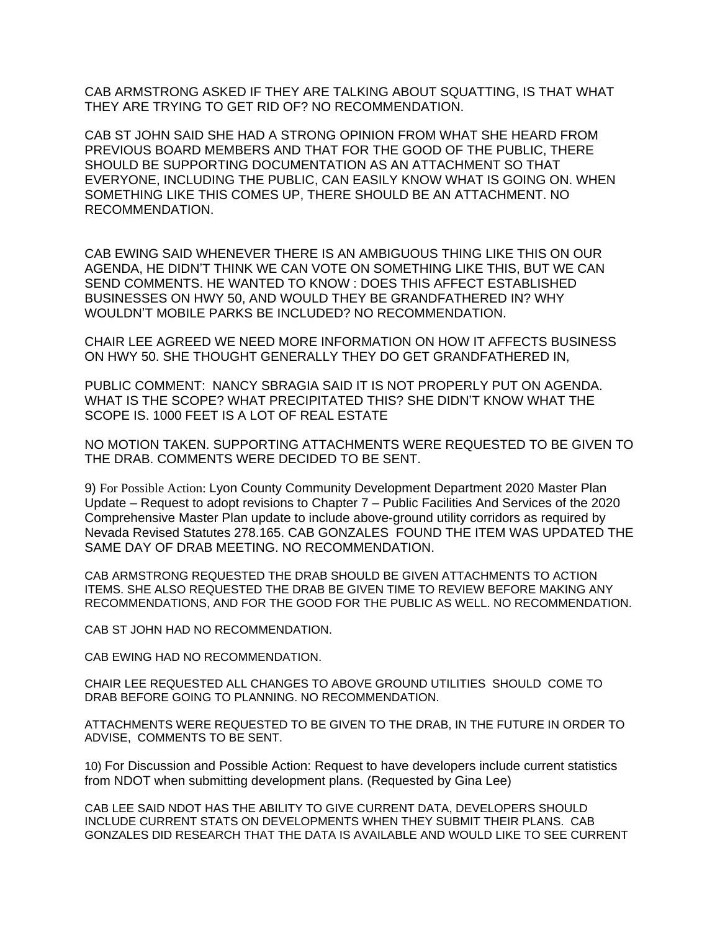CAB ARMSTRONG ASKED IF THEY ARE TALKING ABOUT SQUATTING, IS THAT WHAT THEY ARE TRYING TO GET RID OF? NO RECOMMENDATION.

CAB ST JOHN SAID SHE HAD A STRONG OPINION FROM WHAT SHE HEARD FROM PREVIOUS BOARD MEMBERS AND THAT FOR THE GOOD OF THE PUBLIC, THERE SHOULD BE SUPPORTING DOCUMENTATION AS AN ATTACHMENT SO THAT EVERYONE, INCLUDING THE PUBLIC, CAN EASILY KNOW WHAT IS GOING ON. WHEN SOMETHING LIKE THIS COMES UP, THERE SHOULD BE AN ATTACHMENT. NO RECOMMENDATION.

CAB EWING SAID WHENEVER THERE IS AN AMBIGUOUS THING LIKE THIS ON OUR AGENDA, HE DIDN'T THINK WE CAN VOTE ON SOMETHING LIKE THIS, BUT WE CAN SEND COMMENTS. HE WANTED TO KNOW : DOES THIS AFFECT ESTABLISHED BUSINESSES ON HWY 50, AND WOULD THEY BE GRANDFATHERED IN? WHY WOULDN'T MOBILE PARKS BE INCLUDED? NO RECOMMENDATION.

CHAIR LEE AGREED WE NEED MORE INFORMATION ON HOW IT AFFECTS BUSINESS ON HWY 50. SHE THOUGHT GENERALLY THEY DO GET GRANDFATHERED IN,

PUBLIC COMMENT: NANCY SBRAGIA SAID IT IS NOT PROPERLY PUT ON AGENDA. WHAT IS THE SCOPE? WHAT PRECIPITATED THIS? SHE DIDN'T KNOW WHAT THE SCOPE IS. 1000 FEET IS A LOT OF REAL ESTATE

NO MOTION TAKEN. SUPPORTING ATTACHMENTS WERE REQUESTED TO BE GIVEN TO THE DRAB. COMMENTS WERE DECIDED TO BE SENT.

9) For Possible Action: Lyon County Community Development Department 2020 Master Plan Update – Request to adopt revisions to Chapter 7 – Public Facilities And Services of the 2020 Comprehensive Master Plan update to include above-ground utility corridors as required by Nevada Revised Statutes 278.165. CAB GONZALES FOUND THE ITEM WAS UPDATED THE SAME DAY OF DRAB MEETING. NO RECOMMENDATION.

CAB ARMSTRONG REQUESTED THE DRAB SHOULD BE GIVEN ATTACHMENTS TO ACTION ITEMS. SHE ALSO REQUESTED THE DRAB BE GIVEN TIME TO REVIEW BEFORE MAKING ANY RECOMMENDATIONS, AND FOR THE GOOD FOR THE PUBLIC AS WELL. NO RECOMMENDATION.

CAB ST JOHN HAD NO RECOMMENDATION.

CAB EWING HAD NO RECOMMENDATION.

CHAIR LEE REQUESTED ALL CHANGES TO ABOVE GROUND UTILITIES SHOULD COME TO DRAB BEFORE GOING TO PLANNING. NO RECOMMENDATION.

ATTACHMENTS WERE REQUESTED TO BE GIVEN TO THE DRAB, IN THE FUTURE IN ORDER TO ADVISE, COMMENTS TO BE SENT.

10) For Discussion and Possible Action: Request to have developers include current statistics from NDOT when submitting development plans. (Requested by Gina Lee)

CAB LEE SAID NDOT HAS THE ABILITY TO GIVE CURRENT DATA, DEVELOPERS SHOULD INCLUDE CURRENT STATS ON DEVELOPMENTS WHEN THEY SUBMIT THEIR PLANS. CAB GONZALES DID RESEARCH THAT THE DATA IS AVAILABLE AND WOULD LIKE TO SEE CURRENT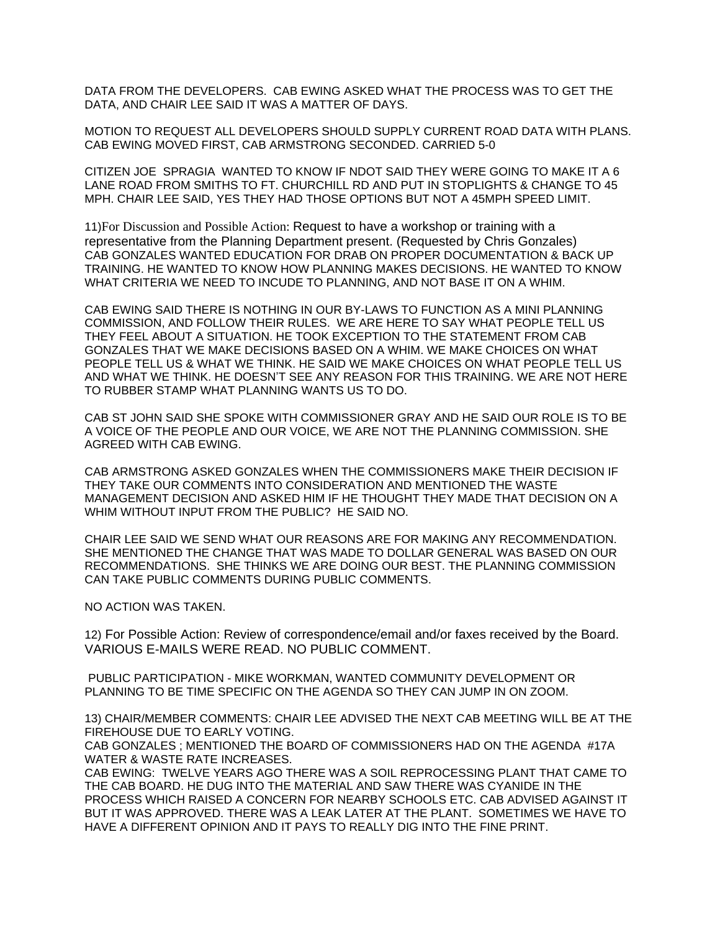DATA FROM THE DEVELOPERS. CAB EWING ASKED WHAT THE PROCESS WAS TO GET THE DATA, AND CHAIR LEE SAID IT WAS A MATTER OF DAYS.

MOTION TO REQUEST ALL DEVELOPERS SHOULD SUPPLY CURRENT ROAD DATA WITH PLANS. CAB EWING MOVED FIRST, CAB ARMSTRONG SECONDED. CARRIED 5-0

CITIZEN JOE SPRAGIA WANTED TO KNOW IF NDOT SAID THEY WERE GOING TO MAKE IT A 6 LANE ROAD FROM SMITHS TO FT. CHURCHILL RD AND PUT IN STOPLIGHTS & CHANGE TO 45 MPH. CHAIR LEE SAID, YES THEY HAD THOSE OPTIONS BUT NOT A 45MPH SPEED LIMIT.

11)For Discussion and Possible Action: Request to have a workshop or training with a representative from the Planning Department present. (Requested by Chris Gonzales) CAB GONZALES WANTED EDUCATION FOR DRAB ON PROPER DOCUMENTATION & BACK UP TRAINING. HE WANTED TO KNOW HOW PLANNING MAKES DECISIONS. HE WANTED TO KNOW WHAT CRITERIA WE NEED TO INCUDE TO PLANNING, AND NOT BASE IT ON A WHIM.

CAB EWING SAID THERE IS NOTHING IN OUR BY-LAWS TO FUNCTION AS A MINI PLANNING COMMISSION, AND FOLLOW THEIR RULES. WE ARE HERE TO SAY WHAT PEOPLE TELL US THEY FEEL ABOUT A SITUATION. HE TOOK EXCEPTION TO THE STATEMENT FROM CAB GONZALES THAT WE MAKE DECISIONS BASED ON A WHIM. WE MAKE CHOICES ON WHAT PEOPLE TELL US & WHAT WE THINK. HE SAID WE MAKE CHOICES ON WHAT PEOPLE TELL US AND WHAT WE THINK. HE DOESN'T SEE ANY REASON FOR THIS TRAINING. WE ARE NOT HERE TO RUBBER STAMP WHAT PLANNING WANTS US TO DO.

CAB ST JOHN SAID SHE SPOKE WITH COMMISSIONER GRAY AND HE SAID OUR ROLE IS TO BE A VOICE OF THE PEOPLE AND OUR VOICE, WE ARE NOT THE PLANNING COMMISSION. SHE AGREED WITH CAB EWING.

CAB ARMSTRONG ASKED GONZALES WHEN THE COMMISSIONERS MAKE THEIR DECISION IF THEY TAKE OUR COMMENTS INTO CONSIDERATION AND MENTIONED THE WASTE MANAGEMENT DECISION AND ASKED HIM IF HE THOUGHT THEY MADE THAT DECISION ON A WHIM WITHOUT INPUT FROM THE PUBLIC? HE SAID NO.

CHAIR LEE SAID WE SEND WHAT OUR REASONS ARE FOR MAKING ANY RECOMMENDATION. SHE MENTIONED THE CHANGE THAT WAS MADE TO DOLLAR GENERAL WAS BASED ON OUR RECOMMENDATIONS. SHE THINKS WE ARE DOING OUR BEST. THE PLANNING COMMISSION CAN TAKE PUBLIC COMMENTS DURING PUBLIC COMMENTS.

NO ACTION WAS TAKEN.

12) For Possible Action: Review of correspondence/email and/or faxes received by the Board. VARIOUS E-MAILS WERE READ. NO PUBLIC COMMENT.

PUBLIC PARTICIPATION - MIKE WORKMAN, WANTED COMMUNITY DEVELOPMENT OR PLANNING TO BE TIME SPECIFIC ON THE AGENDA SO THEY CAN JUMP IN ON ZOOM.

13) CHAIR/MEMBER COMMENTS: CHAIR LEE ADVISED THE NEXT CAB MEETING WILL BE AT THE FIREHOUSE DUE TO EARLY VOTING.

CAB GONZALES ; MENTIONED THE BOARD OF COMMISSIONERS HAD ON THE AGENDA #17A WATER & WASTE RATE INCREASES.

CAB EWING: TWELVE YEARS AGO THERE WAS A SOIL REPROCESSING PLANT THAT CAME TO THE CAB BOARD. HE DUG INTO THE MATERIAL AND SAW THERE WAS CYANIDE IN THE PROCESS WHICH RAISED A CONCERN FOR NEARBY SCHOOLS ETC. CAB ADVISED AGAINST IT BUT IT WAS APPROVED. THERE WAS A LEAK LATER AT THE PLANT. SOMETIMES WE HAVE TO HAVE A DIFFERENT OPINION AND IT PAYS TO REALLY DIG INTO THE FINE PRINT.